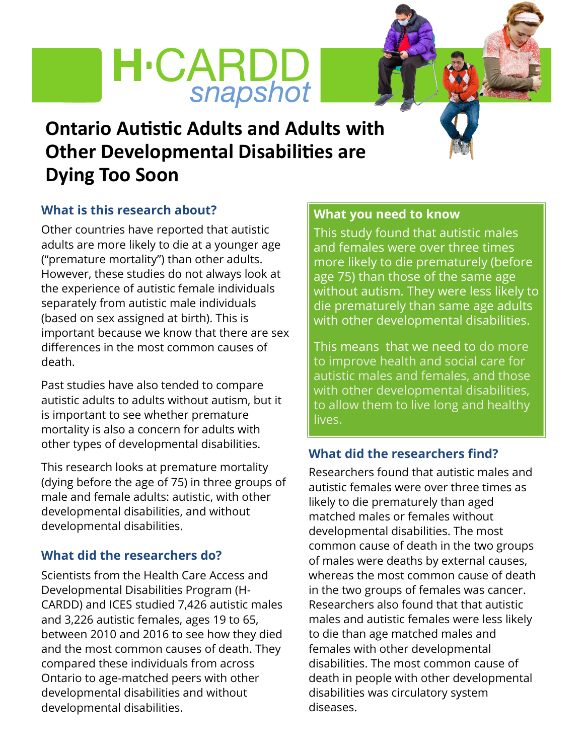## **H**·CARDD snapshot

### **Ontario Autistic Adults and Adults with Other Developmental Disabilities are Dying Too Soon**

### **What is this research about?**

Other countries have reported that autistic adults are more likely to die at a younger age ("premature mortality") than other adults. However, these studies do not always look at the experience of autistic female individuals separately from autistic male individuals (based on sex assigned at birth). This is important because we know that there are sex differences in the most common causes of death.

Past studies have also tended to compare autistic adults to adults without autism, but it is important to see whether premature mortality is also a concern for adults with other types of developmental disabilities.

This research looks at premature mortality (dying before the age of 75) in three groups of male and female adults: autistic, with other developmental disabilities, and without developmental disabilities.

### **What did the researchers do?**

Scientists from the Health Care Access and Developmental Disabilities Program (H-CARDD) and ICES studied 7,426 autistic males and 3,226 autistic females, ages 19 to 65, between 2010 and 2016 to see how they died and the most common causes of death. They compared these individuals from across Ontario to age-matched peers with other developmental disabilities and without developmental disabilities.

### **What you need to know**

This study found that autistic males and females were over three times more likely to die prematurely (before age 75) than those of the same age without autism. They were less likely to die prematurely than same age adults with other developmental disabilities.

This means that we need to do more to improve health and social care for autistic males and females, and those with other developmental disabilities, to allow them to live long and healthy lives.

### **What did the researchers find?**

Researchers found that autistic males and autistic females were over three times as likely to die prematurely than aged matched males or females without developmental disabilities. The most common cause of death in the two groups of males were deaths by external causes, whereas the most common cause of death in the two groups of females was cancer. Researchers also found that that autistic males and autistic females were less likely to die than age matched males and females with other developmental disabilities. The most common cause of death in people with other developmental disabilities was circulatory system diseases.